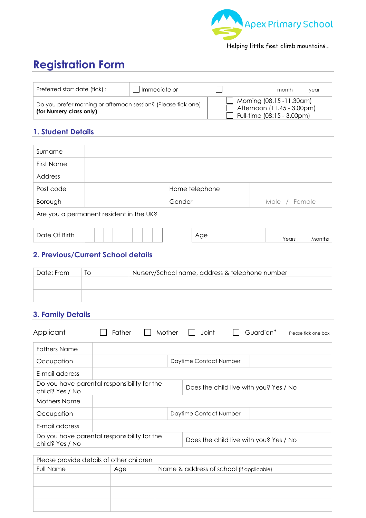

Helping little feet climb mountains…

# **Registration Form**

| Preferred start date (tick):                                                              | Immediate or | month<br>vear                                                                                         |
|-------------------------------------------------------------------------------------------|--------------|-------------------------------------------------------------------------------------------------------|
| Do you prefer morning or afternoon session? (Please tick one)<br>(for Nursery class only) |              | $\Box$ Morning (08.15 -11.30am)<br>Afternoon $(11.45 - 3.00 \text{pm})$<br>Full-time (08:15 - 3.00pm) |

### **1. Student Details**

| Surname                                 |  |                |               |
|-----------------------------------------|--|----------------|---------------|
| First Name                              |  |                |               |
| Address                                 |  |                |               |
| Post code                               |  | Home telephone |               |
| Borough                                 |  | Gender         | Male / Female |
| Are you a permanent resident in the UK? |  |                |               |

| つf Birth<br>∩nte J<br>$\sim$ $\sim$<br>$\overline{\phantom{0}}$<br>◡<br>rears<br>IVI ( |  |  |  |  |  |  |
|----------------------------------------------------------------------------------------|--|--|--|--|--|--|
|----------------------------------------------------------------------------------------|--|--|--|--|--|--|

### **2. Previous/Current School details**

| Date: From | ΙO | Nursery/School name, address & telephone number |
|------------|----|-------------------------------------------------|
|            |    |                                                 |
|            |    |                                                 |

### **3. Family Details**

| Applicant                                                      | Father | Mother | <b>Joint</b>           | Guardian*<br>Please tick one box       |
|----------------------------------------------------------------|--------|--------|------------------------|----------------------------------------|
| <b>Fathers Name</b>                                            |        |        |                        |                                        |
| Occupation                                                     |        |        | Daytime Contact Number |                                        |
| E-mail address                                                 |        |        |                        |                                        |
| Do you have parental responsibility for the<br>child? Yes / No |        |        |                        | Does the child live with you? Yes / No |
| Mothers Name                                                   |        |        |                        |                                        |
| Occupation                                                     |        |        | Daytime Contact Number |                                        |
| E-mail address                                                 |        |        |                        |                                        |
| Do you have parental responsibility for the<br>child? Yes / No |        |        |                        | Does the child live with you? Yes / No |

| Please provide details of other children |     |                                          |  |  |  |
|------------------------------------------|-----|------------------------------------------|--|--|--|
| <b>Full Name</b>                         | Age | Name & address of school (if applicable) |  |  |  |
|                                          |     |                                          |  |  |  |
|                                          |     |                                          |  |  |  |
|                                          |     |                                          |  |  |  |
|                                          |     |                                          |  |  |  |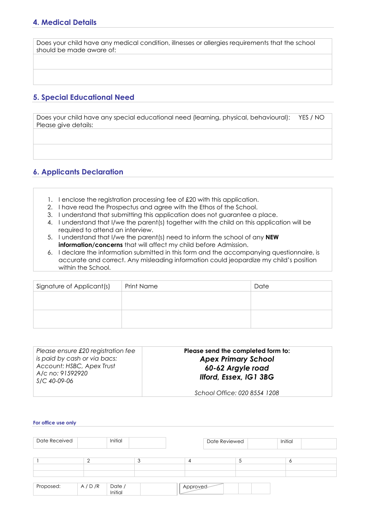Does your child have any medical condition, illnesses or allergies requirements that the school should be made aware of:

### **5. Special Educational Need**

Does your child have any special educational need (learning, physical, behavioural): YES / NO Please give details:

#### **6. Applicants Declaration**

- 1. I enclose the registration processing fee of £20 with this application.
- 2. I have read the Prospectus and agree with the Ethos of the School.
- 3. I understand that submitting this application does not guarantee a place.
- 4. I understand that I/we the parent(s) together with the child on this application will be required to attend an interview.
- 5. I understand that I/we the parent(s) need to inform the school of any **NEW information/concerns** that will affect my child before Admission.
- 6. I declare the information submitted in this form and the accompanying questionnaire, is accurate and correct. Any misleading information could jeopardize my child's position within the School.

| Signature of Applicant(s) | <b>Print Name</b> | Date |
|---------------------------|-------------------|------|
|                           |                   |      |
|                           |                   |      |
|                           |                   |      |
|                           |                   |      |

| Please ensure £20 registration fee | Please send the completed form to: |  |  |  |  |
|------------------------------------|------------------------------------|--|--|--|--|
| is paid by cash or via bacs:       |                                    |  |  |  |  |
| Account: HSBC, Apex Trust          | <b>Apex Primary School</b>         |  |  |  |  |
|                                    | 60-62 Argyle road                  |  |  |  |  |
| A/c no: 91592920<br>S/C 40-09-06   | Ilford, Essex, IG1 3BG             |  |  |  |  |
|                                    |                                    |  |  |  |  |
|                                    | School Office: 020 8554 1208       |  |  |  |  |

#### **For office use only**

| Date Received |       | Initial           |   |          | Date Reviewed | Initial |   |
|---------------|-------|-------------------|---|----------|---------------|---------|---|
|               |       |                   | 3 | 4        |               |         | O |
|               |       |                   |   |          |               |         |   |
| Proposed:     | A/D/R | Date /<br>Initial |   | Approved |               |         |   |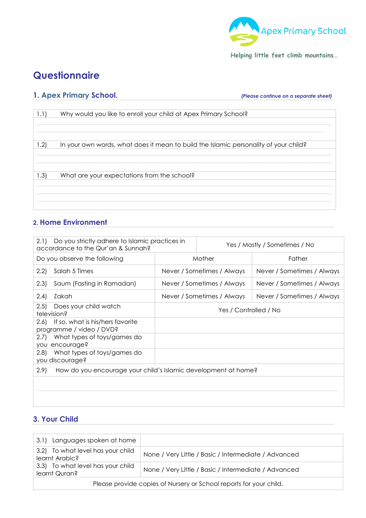

**Helping little feet climb mountains…** 

# **Questionnaire**

### **1. Apex Primary School.** *(Please continue on a separate sheet)*

| 1.1) | Why would you like to enroll your child at Apex Primary School?                      |
|------|--------------------------------------------------------------------------------------|
|      |                                                                                      |
|      |                                                                                      |
| 1.2) | In your own words, what does it mean to build the Islamic personality of your child? |
|      |                                                                                      |
|      |                                                                                      |
| 1.3) | What are your expectations from the school?                                          |
|      |                                                                                      |
|      |                                                                                      |
|      |                                                                                      |
|      |                                                                                      |

### **2. Home Environment**

| Do you strictly adhere to Islamic practices in<br>2.1<br>accordance to the Qur'an & Sunnah? |                            | Yes / Mostly / Sometimes / No |
|---------------------------------------------------------------------------------------------|----------------------------|-------------------------------|
| Do you observe the following                                                                | Mother                     | Father                        |
| (2.2)<br>Salah 5 Times                                                                      | Never / Sometimes / Always | Never / Sometimes / Always    |
| Saum (Fasting in Ramadan)<br>(2.3)                                                          | Never / Sometimes / Always | Never / Sometimes / Always    |
| Zakah<br>(2.4)                                                                              | Never / Sometimes / Always | Never / Sometimes / Always    |
| Does your child watch<br>(2.5)<br>television?                                               | Yes / Controlled / No      |                               |
| If so, what is his/hers favorite<br>2.6)<br>programme / video / DVD?                        |                            |                               |
| What types of toys/games do<br>2.7)<br>you encourage?                                       |                            |                               |
| What types of toys/games do<br>2.8)<br>you discourage?                                      |                            |                               |
| How do you encourage your child's Islamic development at home?<br>2.9                       |                            |                               |
|                                                                                             |                            |                               |
|                                                                                             |                            |                               |
|                                                                                             |                            |                               |

### **3. Your Child**

| Languages spoken at home<br>3.11                                   |                                                      |  |  |  |
|--------------------------------------------------------------------|------------------------------------------------------|--|--|--|
| 3.2) To what level has your child<br>learnt Arabic?                | None / Very Little / Basic / Intermediate / Advanced |  |  |  |
| 3.3) To what level has your child<br>learnt Quran?                 | None / Very Little / Basic / Intermediate / Advanced |  |  |  |
| Please provide copies of Nursery or School reports for your child. |                                                      |  |  |  |